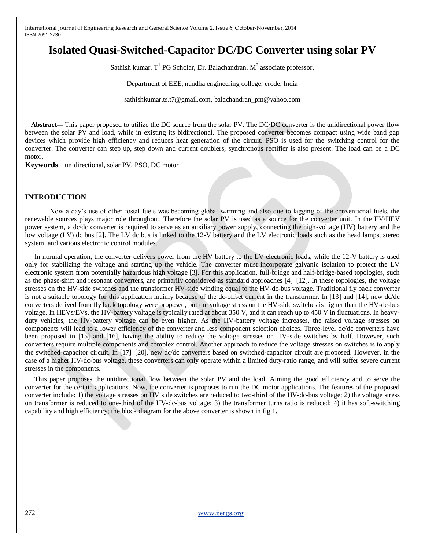# **Isolated Quasi-Switched-Capacitor DC/DC Converter using solar PV**

Sathish kumar. T<sup>1</sup> PG Scholar, Dr. Balachandran.  $M^2$  associate professor,

Department of EEE, nandha engineering college, erode, India

sathishkumar.ts.t7@gmail.com, balachandran\_pm@yahoo.com

**Abstract— This paper proposed to utilize the DC source from the solar PV. The DC/DC converter is the unidirectional power flow** between the solar PV and load, while in existing its bidirectional. The proposed converter becomes compact using wide band gap devices which provide high efficiency and reduces heat generation of the circuit. PSO is used for the switching control for the converter. The converter can step up, step down and current doublers, synchronous rectifier is also present. The load can be a DC motor.

**Keywords**— unidirectional, solar PV, PSO, DC motor

#### **INTRODUCTION**

Now a day's use of other fossil fuels was becoming global warming and also due to lagging of the conventional fuels, the renewable sources plays major role throughout. Therefore the solar PV is used as a source for the converter unit. In the EV/HEV power system, a dc/dc converter is required to serve as an auxiliary power supply, connecting the high-voltage (HV) battery and the low voltage (LV) dc bus [2]. The LV dc bus is linked to the 12-V battery and the LV electronic loads such as the head lamps, stereo system, and various electronic control modules.

In normal operation, the converter delivers power from the HV battery to the LV electronic loads, while the 12-V battery is used only for stabilizing the voltage and starting up the vehicle. The converter must incorporate galvanic isolation to protect the LV electronic system from potentially hazardous high voltage [3]. For this application, full-bridge and half-bridge-based topologies, such as the phase-shift and resonant converters, are primarily considered as standard approaches [4]–[12]. In these topologies, the voltage stresses on the HV-side switches and the transformer HV-side winding equal to the HV-dc-bus voltage. Traditional fly back converter is not a suitable topology for this application mainly because of the dc-offset current in the transformer. In [13] and [14], new dc/dc converters derived from fly back topology were proposed, but the voltage stress on the HV-side switches is higher than the HV-dc-bus voltage. In HEVs/EVs, the HV-battery voltage is typically rated at about 350 V, and it can reach up to 450 V in fluctuations. In heavyduty vehicles, the HV-battery voltage can be even higher. As the HV-battery voltage increases, the raised voltage stresses on components will lead to a lower efficiency of the converter and less component selection choices. Three-level dc/dc converters have been proposed in [15] and [16], having the ability to reduce the voltage stresses on HV-side switches by half. However, such converters require multiple components and complex control. Another approach to reduce the voltage stresses on switches is to apply the switched-capacitor circuit. In [17]–[20], new dc/dc converters based on switched-capacitor circuit are proposed. However, in the case of a higher HV-dc-bus voltage, these converters can only operate within a limited duty-ratio range, and will suffer severe current stresses in the components.

This paper proposes the unidirectional flow between the solar PV and the load. Aiming the good efficiency and to serve the converter for the certain applications. Now, the converter is proposes to run the DC motor applications. The features of the proposed converter include: 1) the voltage stresses on HV side switches are reduced to two-third of the HV-dc-bus voltage; 2) the voltage stress on transformer is reduced to one-third of the HV-dc-bus voltage; 3) the transformer turns ratio is reduced; 4) it has soft-switching capability and high efficiency; the block diagram for the above converter is shown in fig 1.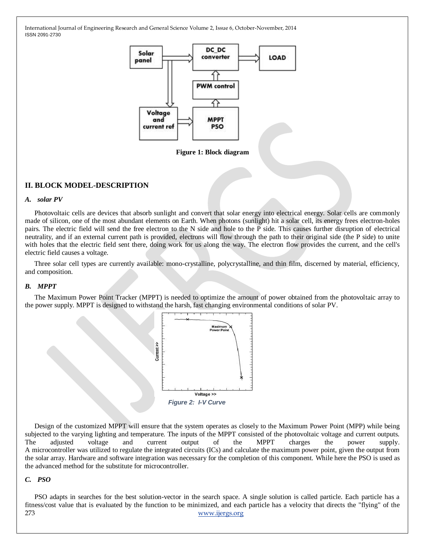

**Figure 1: Block diagram**

### **II. BLOCK MODEL-DESCRIPTION**

#### *A. solar PV*

Photovoltaic cells are devices that absorb sunlight and convert that solar energy into electrical energy. Solar cells are commonly made of silicon, one of the most abundant elements on Earth. When photons (sunlight) hit a solar cell, its energy frees electron-holes pairs. The electric field will send the free electron to the N side and hole to the P side. This causes further disruption of electrical neutrality, and if an external current path is provided, electrons will flow through the path to their original side (the P side) to unite with holes that the electric field sent there, doing work for us along the way. The electron flow provides the current, and the cell's electric field causes a voltage.

Three solar cell types are currently available: mono-crystalline, polycrystalline, and thin film, discerned by material, efficiency, and composition.

#### *B. MPPT*

The Maximum Power Point Tracker (MPPT) is needed to optimize the amount of power obtained from the photovoltaic array to the power supply. MPPT is designed to withstand the harsh, fast changing environmental conditions of solar PV.



Design of the customized MPPT will ensure that the system operates as closely to the Maximum Power Point (MPP) while being subjected to the varying lighting and temperature. The inputs of the MPPT consisted of the photovoltaic voltage and current outputs. The adjusted voltage and current output of the MPPT charges the power supply. A microcontroller was utilized to regulate the integrated circuits (ICs) and calculate the maximum power point, given the output from the solar array. Hardware and software integration was necessary for the completion of this component. While here the PSO is used as the advanced method for the substitute for microcontroller.

#### *C. PSO*

273 [www.ijergs.org](http://www.ijergs.org/) PSO adapts in searches for the best solution-vector in the search space. A single solution is called particle. Each particle has a fitness/cost value that is evaluated by the function to be minimized, and each particle has a velocity that directs the "flying" of the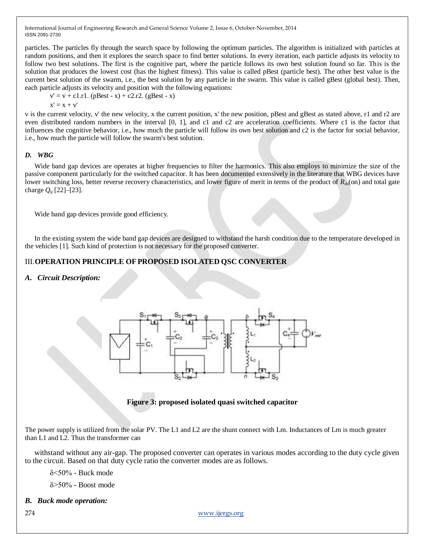particles. The particles fly through the search space by following the optimum particles. The algorithm is initialized with particles at random positions, and then it explores the search space to find better solutions. In every iteration, each particle adjusts its velocity to follow two best solutions. The first is the cognitive part, where the particle follows its own best solution found so far. This is the solution that produces the lowest cost (has the highest fitness). This value is called pBest (particle best). The other best value is the current best solution of the swarm, i.e., the best solution by any particle in the swarm. This value is called gBest (global best). Then, each particle adjusts its velocity and position with the following equations:

 $v' = v + c1.r1.$  (pBest - x) + c2.r2. (gBest - x)

 $x' = x + v'$ 

v is the current velocity, v' the new velocity, x the current position, x' the new position, pBest and gBest as stated above, r1 and r2 are even distributed random numbers in the interval [0, 1], and c1 and c2 are acceleration coefficients. Where c1 is the factor that influences the cognitive behavior, i.e., how much the particle will follow its own best solution and c2 is the factor for social behavior, i.e., how much the particle will follow the swarm's best solution.

### *D. WBG*

Wide band gap devices are operates at higher frequencies to filter the harmonics. This also employs to minimize the size of the passive component particularly for the switched capacitor. It has been documented extensively in the literature that WBG devices have lower switching loss, better reverse recovery characteristics, and lower figure of merit in terms of the product of *R*<sub>ds</sub>(on) and total gate charge  $Q_{g}$  [22]–[23].

Wide band gap devices provide good efficiency.

In the existing system the wide band gap devices are designed to withstand the harsh condition due to the temperature developed in the vehicles [1]. Such kind of protection is not necessary for the proposed converter.

# III.**OPERATION PRINCIPLE OFPROPOSED ISOLATED QSC CONVERTER**

## *A. Circuit Description:*



**Figure 3: proposed isolated quasi switched capacitor**

The power supply is utilized from the solar PV. The L1 and L2 are the shunt connect with Lm. Inductances of Lm is much greater than L1 and L2. Thus the transformer can

withstand without any air-gap. The proposed converter can operates in various modes according to the duty cycle given to the circuit. Based on that duty cycle ratio the converter modes are as follows.

δ<50% - Buck mode

δ>50% - Boost mode

## *B. Buck mode operation:*

274 [www.ijergs.org](http://www.ijergs.org/)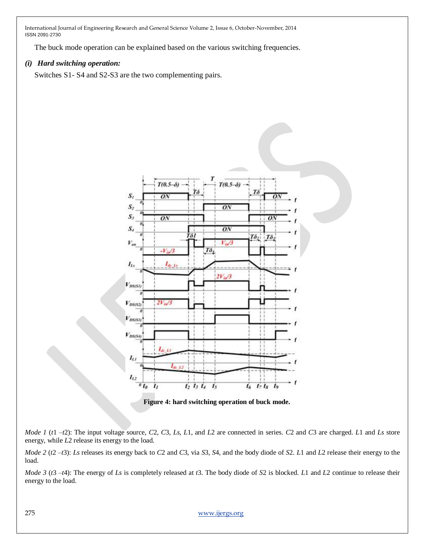The buck mode operation can be explained based on the various switching frequencies.

## *(i) Hard switching operation:*

Switches S1- S4 and S2-S3 are the two complementing pairs.



**Figure 4: hard switching operation of buck mode.**

*Mode 1* (*t*1 *–t*2): The input voltage source, *C*2*, C*3*, Ls, L*1, and *L*2 are connected in series. *C*2 and *C*3 are charged. *L*1 and *Ls* store energy, while *L*2 release its energy to the load.

*Mode 2* (*t*2 *–t*3): *Ls* releases its energy back to *C*2 and *C*3, via *S*3*, S*4, and the body diode of *S*2. *L*1 and *L*2 release their energy to the load.

*Mode 3* (*t*3 *–t*4): The energy of *Ls* is completely released at *t*3. The body diode of *S*2 is blocked. *L*1 and *L*2 continue to release their energy to the load.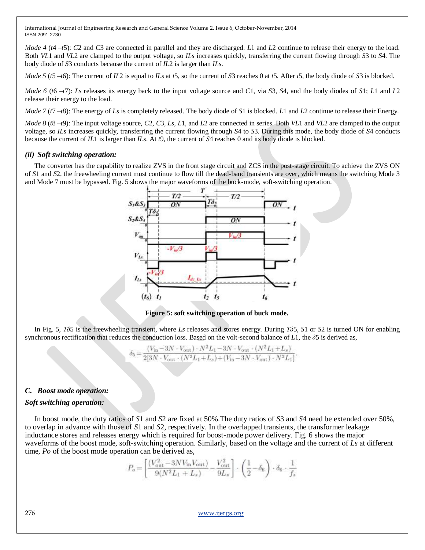*Mode 4 (t4 –t5): C2 and C3 are connected in parallel and they are discharged. <i>L1* and *L2* continue to release their energy to the load. Both *VL*1 and *VL*2 are clamped to the output voltage, so *ILs* increases quickly, transferring the current flowing through *S*3 to *S*4. The body diode of *S*3 conducts because the current of *IL*2 is larger than *ILs*.

*Mode 5* (*t*5 *–t*6): The current of *IL*2 is equal to *ILs* at *t*5, so the current of *S*3 reaches 0 at *t*5. After *t*5, the body diode of *S*3 is blocked.

*Mode 6* (*t*6 *–t*7): *Ls* releases its energy back to the input voltage source and *C*1, via *S*3*, S*4, and the body diodes of *S*1; *L*1 and *L*2 release their energy to the load.

*Mode 7* (*t*7 *–t*8): The energy of *Ls* is completely released. The body diode of *S*1 is blocked. *L*1 and *L*2 continue to release their Energy.

*Mode 8* (*t*8 *–t*9): The input voltage source, *C*2*, C*3*, Ls, L*1, and *L*2 are connected in series. Both *VL*1 and *VL*2 are clamped to the output voltage, so *ILs* increases quickly, transferring the current flowing through *S*4 to *S*3. During this mode, the body diode of *S*4 conducts because the current of *IL*1 is larger than *ILs*. At *t*9, the current of *S*4 reaches 0 and its body diode is blocked.

#### *(ii) Soft switching operation:*

The converter has the capability to realize ZVS in the front stage circuit and ZCS in the post-stage circuit. To achieve the ZVS ON of *S*1 and *S*2, the freewheeling current must continue to flow till the dead-band transients are over, which means the switching Mode 3 and Mode 7 must be bypassed. Fig. 5 shows the major waveforms of the buck-mode, soft-switching operation.



**Figure 5: soft switching operation of buck mode.**

In Fig. 5, *Tδ*5 is the freewheeling transient, where *Ls* releases and stores energy. During *Tδ*5*, S*1 or *S*2 is turned ON for enabling synchronous rectification that reduces the conduction loss. Based on the volt-second balance of *L*1, the *δ*5 is derived as,

$$
\delta_3 = \frac{(V_{\text{in}} - 3N \cdot V_{\text{out}}) \cdot N^2 L_1 - 3N \cdot V_{\text{out}} \cdot (N^2 L_1 + L_s)}{2[3N \cdot V_{\text{out}} \cdot (N^2 L_1 + L_s) + (V_{\text{in}} - 3N \cdot V_{\text{out}}) \cdot N^2 L_1]}.
$$

## *C. Boost mode operation:*

#### *Soft switching operation:*

In boost mode, the duty ratios of *S*1 and *S*2 are fixed at 50%.The duty ratios of *S*3 and *S*4 need be extended over 50%, to overlap in advance with those of *S*1 and *S*2, respectively. In the overlapped transients, the transformer leakage inductance stores and releases energy which is required for boost-mode power delivery. Fig. 6 shows the major waveforms of the boost mode, soft-switching operation. Similarly, based on the voltage and the current of *Ls* at different time, *Po* of the boost mode operation can be derived as,

$$
P_o\!=\!\left[\frac{(V_{\text{out}}^2\!-\!3NV_{\text{in}}V_{\text{out}})}{9(N^2L_1+L_s)}\!-\!\frac{V_{\text{out}}^2}{9L_s}\right]\cdot\left(\frac{1}{2}\!-\!\delta_6\right)\cdot\delta_6\cdot\frac{1}{f_s}
$$

276 [www.ijergs.org](http://www.ijergs.org/)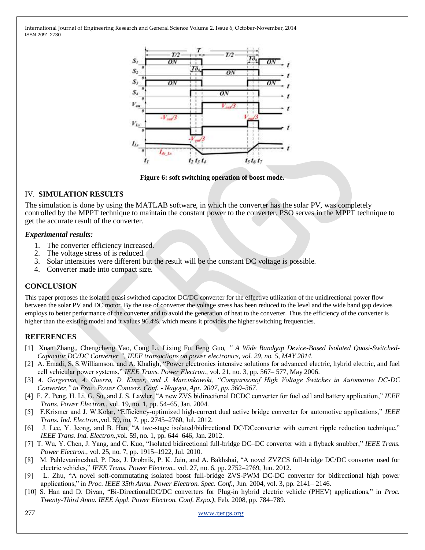

**Figure 6: soft switching operation of boost mode.**

## IV. **SIMULATION RESULTS**

The simulation is done by using the MATLAB software, in which the converter has the solar PV, was completely controlled by the MPPT technique to maintain the constant power to the converter. PSO serves in the MPPT technique to get the accurate result of the converter.

### *Experimental results:*

- 1. The converter efficiency increased.
- 2. The voltage stress of is reduced.
- 3. Solar intensities were different but the result will be the constant DC voltage is possible.
- 4. Converter made into compact size.

# **CONCLUSION**

This paper proposes the isolated quasi switched capacitor DC/DC converter for the effective utilization of the unidirectional power flow between the solar PV and DC motor. By the use of converter the voltage stress has been reduced to the level and the wide band gap devices employs to better performance of the converter and to avoid the generation of heat to the converter. Thus the efficiency of the converter is higher than the existing model and it values 96.4%. which means it provides the higher switching frequencies.

## **REFERENCES**

- [1] Xuan Zhang*,*, Chengcheng Yao*,* Cong Li*,* Lixing Fu*,* Feng Guo*, " A Wide Bandgap Device-Based Isolated Quasi-Switched-Capacitor DC/DC Converter ", IEEE transactions on power electronics, vol. 29, no. 5, MAY 2014.*
- [2] A. Emadi, S. S. Williamson, and A. Khaligh, "Power electronics intensive solutions for advanced electric, hybrid electric, and fuel cell vehicular power systems,‖ *IEEE Trans. Power Electron.*, vol. 21, no. 3, pp. 567– 577, May 2006.
- [3] *A. Gorgerino, A. Guerra, D. Kinzer, and J. Marcinkowski, "Comparisonof High Voltage Switches in Automotive DC-DC Converter," in Proc. Power Convers. Conf. - Nagoya, Apr. 2007, pp. 360–367.*
- [4] F. Z. Peng, H. Li, G. Su, and J. S. Lawler, "A new ZVS bidirectional DCDC converter for fuel cell and battery application," *IEEE Trans. Power Electron.*, vol. 19, no. 1, pp. 54–65, Jan. 2004.
- [5] F.Krismer and J. W.Kolar, "Efficiency-optimized high-current dual active bridge converter for automotive applications," *IEEE Trans. Ind. Electron.*,vol. 59, no. 7, pp. 2745–2760, Jul. 2012.
- [6] J. Lee, Y. Jeong, and B. Han, "A two-stage isolated/bidirectional DC/DCconverter with current ripple reduction technique," *IEEE Trans. Ind. Electron.*,vol. 59, no. 1, pp. 644–646, Jan. 2012.
- [7] T. Wu, Y. Chen, J. Yang, and C. Kuo, "Isolated bidirectional full-bridge DC–DC converter with a flyback snubber," *IEEE Trans. Power Electron.*, vol. 25, no. 7, pp. 1915–1922, Jul. 2010.
- [8] M. Pahlevaninezhad, P. Das, J. Drobnik, P. K. Jain, and A. Bakhshai, "A novel ZVZCS full-bridge DC/DC converter used for electric vehicles," *IEEE Trans. Power Electron.*, vol. 27, no. 6, pp. 2752–2769, Jun. 2012.
- [9] L. Zhu, "A novel soft-commutating isolated boost full-bridge ZVS-PWM DC-DC converter for bidirectional high power applications,‖ in *Proc. IEEE 35th Annu. Power Electron. Spec. Conf.*, Jun. 2004, vol. 3, pp. 2141– 2146.
- [10] S. Han and D. Divan, "Bi-DirectionalDC/DC converters for Plug-in hybrid electric vehicle (PHEV) applications," in *Proc. Twenty-Third Annu. IEEE Appl. Power Electron. Conf. Expo.)*, Feb. 2008, pp. 784–789.